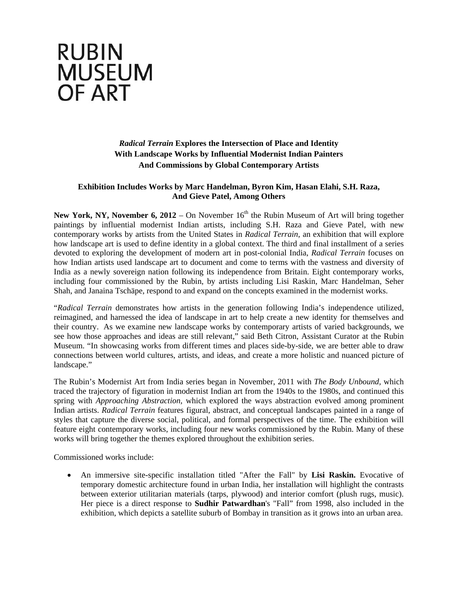## **RUBIN MUSEUM OF ART**

## *Radical Terrain* **Explores the Intersection of Place and Identity With Landscape Works by Influential Modernist Indian Painters And Commissions by Global Contemporary Artists**

## **Exhibition Includes Works by Marc Handelman, Byron Kim, Hasan Elahi, S.H. Raza, And Gieve Patel, Among Others**

**New York, NY, November 6, 2012** – On November 16<sup>th</sup> the Rubin Museum of Art will bring together paintings by influential modernist Indian artists, including S.H. Raza and Gieve Patel, with new contemporary works by artists from the United States in *Radical Terrain*, an exhibition that will explore how landscape art is used to define identity in a global context. The third and final installment of a series devoted to exploring the development of modern art in post-colonial India, *Radical Terrain* focuses on how Indian artists used landscape art to document and come to terms with the vastness and diversity of India as a newly sovereign nation following its independence from Britain. Eight contemporary works, including four commissioned by the Rubin, by artists including Lisi Raskin, Marc Handelman, Seher Shah, and Janaina Tschäpe, respond to and expand on the concepts examined in the modernist works.

"*Radical Terrain* demonstrates how artists in the generation following India's independence utilized, reimagined, and harnessed the idea of landscape in art to help create a new identity for themselves and their country. As we examine new landscape works by contemporary artists of varied backgrounds, we see how those approaches and ideas are still relevant," said Beth Citron, Assistant Curator at the Rubin Museum. "In showcasing works from different times and places side-by-side, we are better able to draw connections between world cultures, artists, and ideas, and create a more holistic and nuanced picture of landscape."

The Rubin's Modernist Art from India series began in November, 2011 with *The Body Unbound,* which traced the trajectory of figuration in modernist Indian art from the 1940s to the 1980s, and continued this spring with *Approaching Abstraction,* which explored the ways abstraction evolved among prominent Indian artists. *Radical Terrain* features figural, abstract, and conceptual landscapes painted in a range of styles that capture the diverse social, political, and formal perspectives of the time. The exhibition will feature eight contemporary works, including four new works commissioned by the Rubin. Many of these works will bring together the themes explored throughout the exhibition series.

Commissioned works include:

 An immersive site-specific installation titled "After the Fall" by **Lisi Raskin.** Evocative of temporary domestic architecture found in urban India, her installation will highlight the contrasts between exterior utilitarian materials (tarps, plywood) and interior comfort (plush rugs, music). Her piece is a direct response to **Sudhir Patwardhan**'s "Fall" from 1998, also included in the exhibition, which depicts a satellite suburb of Bombay in transition as it grows into an urban area.